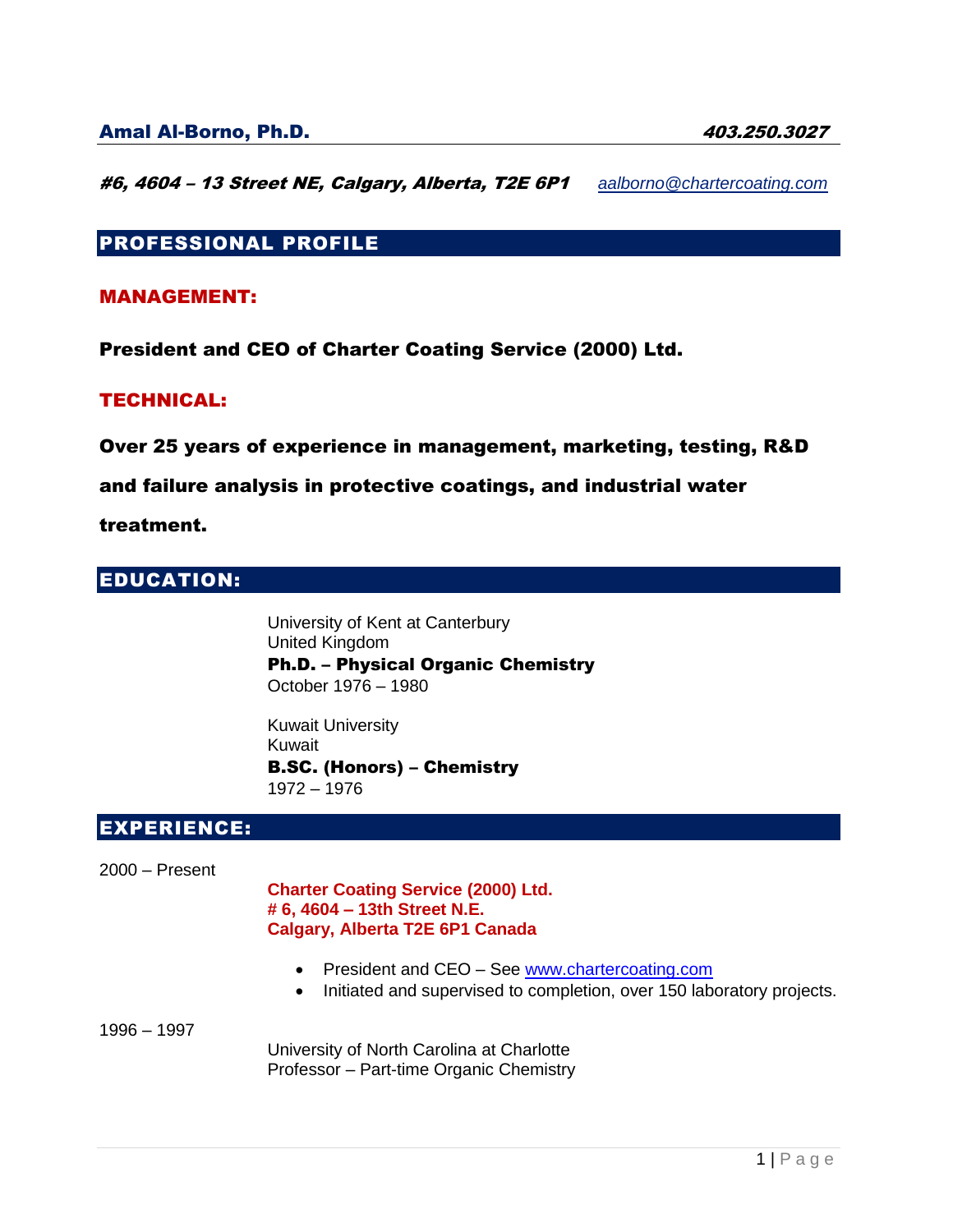#6, 4604 – 13 Street NE, Calgary, Alberta, T2E 6P1 *[aalborno@chartercoating.com](mailto:aalborno@chartercoating.com)*

# PROFESSIONAL PROFILE

## MANAGEMENT:

President and CEO of Charter Coating Service (2000) Ltd.

### TECHNICAL:

Over 25 years of experience in management, marketing, testing, R&D

### and failure analysis in protective coatings, and industrial water

treatment.

# EDUCATION:

University of Kent at Canterbury United Kingdom Ph.D. – Physical Organic Chemistry October 1976 – 1980

Kuwait University Kuwait B.SC. (Honors) – Chemistry 1972 – 1976

## EXPERIENCE:

2000 – Present

**Charter Coating Service (2000) Ltd. # 6, 4604 – 13th Street N.E. Calgary, Alberta T2E 6P1 Canada**

- President and CEO See [www.chartercoating.com](http://www.chartercoating.com/)
- Initiated and supervised to completion, over 150 laboratory projects.

1996 – 1997

University of North Carolina at Charlotte Professor – Part-time Organic Chemistry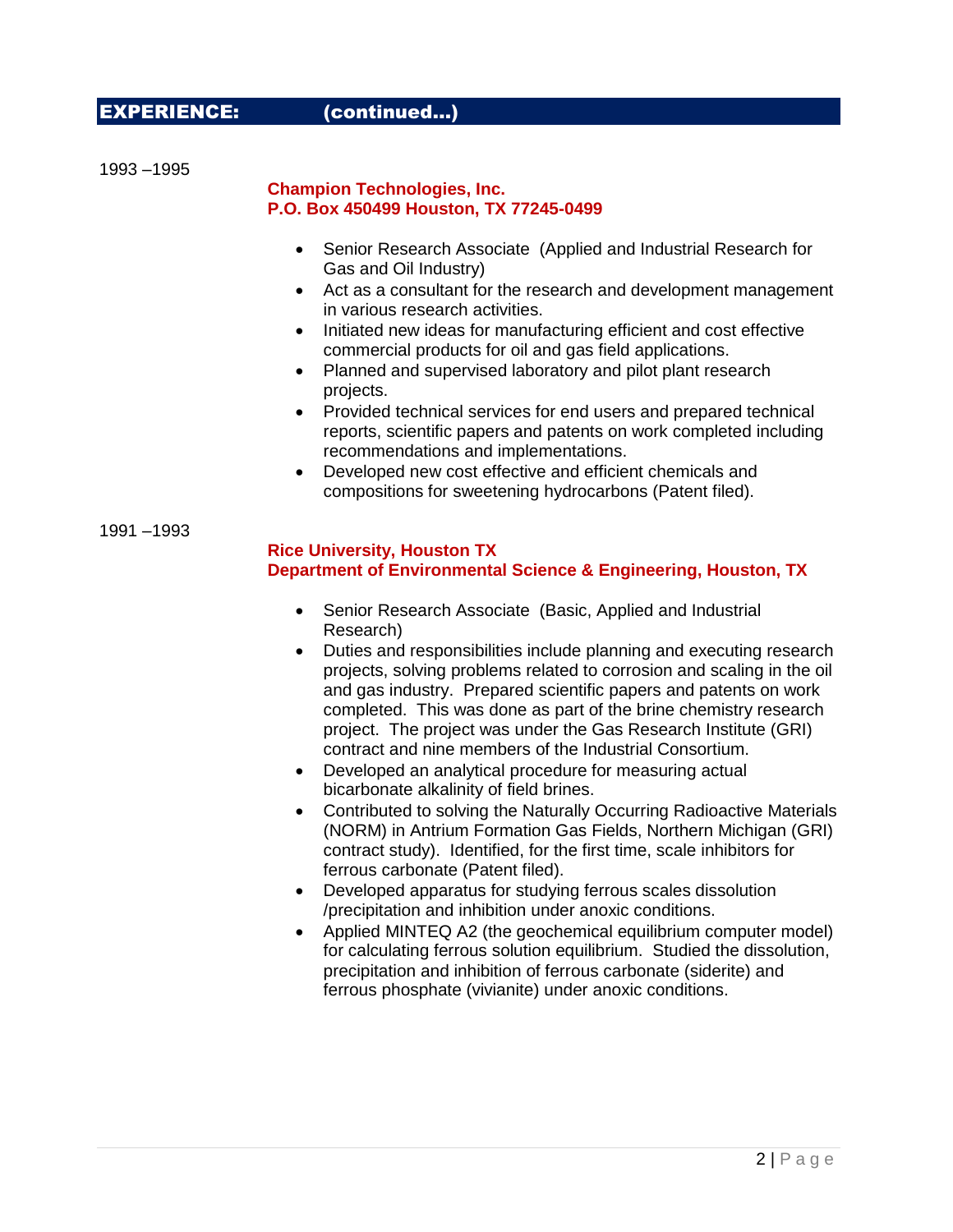## EXPERIENCE: (continued…)

1993 –1995

#### **Champion Technologies, Inc. P.O. Box 450499 Houston, TX 77245-0499**

- Senior Research Associate (Applied and Industrial Research for Gas and Oil Industry)
- Act as a consultant for the research and development management in various research activities.
- Initiated new ideas for manufacturing efficient and cost effective commercial products for oil and gas field applications.
- Planned and supervised laboratory and pilot plant research projects.
- Provided technical services for end users and prepared technical reports, scientific papers and patents on work completed including recommendations and implementations.
- Developed new cost effective and efficient chemicals and compositions for sweetening hydrocarbons (Patent filed).

1991 –1993

#### **Rice University, Houston TX Department of Environmental Science & Engineering, Houston, TX**

- Senior Research Associate (Basic, Applied and Industrial Research)
- Duties and responsibilities include planning and executing research projects, solving problems related to corrosion and scaling in the oil and gas industry. Prepared scientific papers and patents on work completed. This was done as part of the brine chemistry research project. The project was under the Gas Research Institute (GRI) contract and nine members of the Industrial Consortium.
- Developed an analytical procedure for measuring actual bicarbonate alkalinity of field brines.
- Contributed to solving the Naturally Occurring Radioactive Materials (NORM) in Antrium Formation Gas Fields, Northern Michigan (GRI) contract study). Identified, for the first time, scale inhibitors for ferrous carbonate (Patent filed).
- Developed apparatus for studying ferrous scales dissolution /precipitation and inhibition under anoxic conditions.
- Applied MINTEQ A2 (the geochemical equilibrium computer model) for calculating ferrous solution equilibrium. Studied the dissolution, precipitation and inhibition of ferrous carbonate (siderite) and ferrous phosphate (vivianite) under anoxic conditions.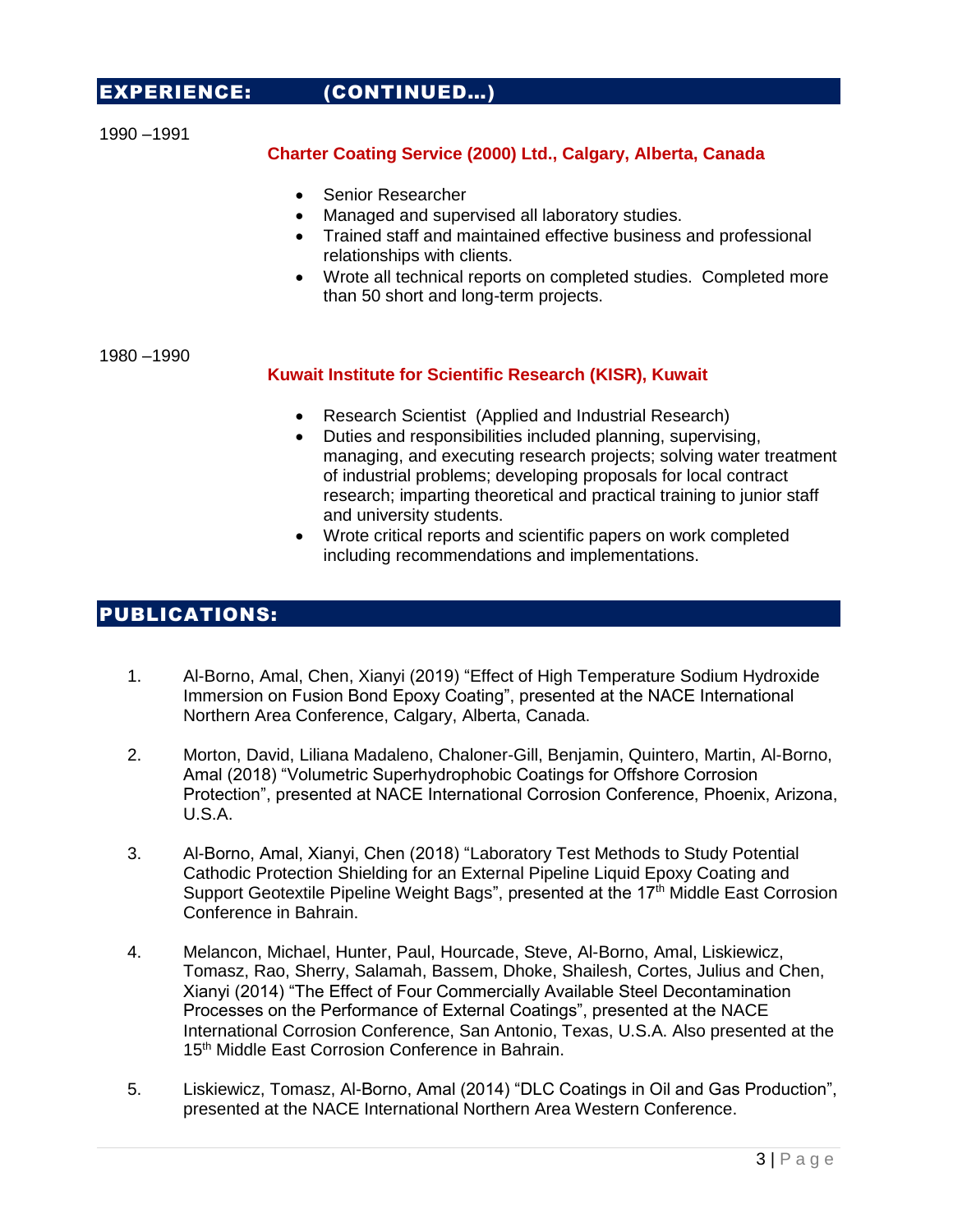## EXPERIENCE: (CONTINUED…)

1990 –1991

### **Charter Coating Service (2000) Ltd., Calgary, Alberta, Canada**

- Senior Researcher
- Managed and supervised all laboratory studies.
- Trained staff and maintained effective business and professional relationships with clients.
- Wrote all technical reports on completed studies. Completed more than 50 short and long-term projects.

1980 –1990

#### **Kuwait Institute for Scientific Research (KISR), Kuwait**

- Research Scientist (Applied and Industrial Research)
- Duties and responsibilities included planning, supervising, managing, and executing research projects; solving water treatment of industrial problems; developing proposals for local contract research; imparting theoretical and practical training to junior staff and university students.
- Wrote critical reports and scientific papers on work completed including recommendations and implementations.

# PUBLICATIONS:

- 1. Al-Borno, Amal, Chen, Xianyi (2019) "Effect of High Temperature Sodium Hydroxide Immersion on Fusion Bond Epoxy Coating", presented at the NACE International Northern Area Conference, Calgary, Alberta, Canada.
- 2. Morton, David, Liliana Madaleno, Chaloner-Gill, Benjamin, Quintero, Martin, Al-Borno, Amal (2018) "Volumetric Superhydrophobic Coatings for Offshore Corrosion Protection", presented at NACE International Corrosion Conference, Phoenix, Arizona, U.S.A.
- 3. Al-Borno, Amal, Xianyi, Chen (2018) "Laboratory Test Methods to Study Potential Cathodic Protection Shielding for an External Pipeline Liquid Epoxy Coating and Support Geotextile Pipeline Weight Bags", presented at the 17<sup>th</sup> Middle East Corrosion Conference in Bahrain.
- 4. Melancon, Michael, Hunter, Paul, Hourcade, Steve, Al-Borno, Amal, Liskiewicz, Tomasz, Rao, Sherry, Salamah, Bassem, Dhoke, Shailesh, Cortes, Julius and Chen, Xianyi (2014) "The Effect of Four Commercially Available Steel Decontamination Processes on the Performance of External Coatings", presented at the NACE International Corrosion Conference, San Antonio, Texas, U.S.A. Also presented at the 15<sup>th</sup> Middle East Corrosion Conference in Bahrain.
- 5. Liskiewicz, Tomasz, Al-Borno, Amal (2014) "DLC Coatings in Oil and Gas Production", presented at the NACE International Northern Area Western Conference.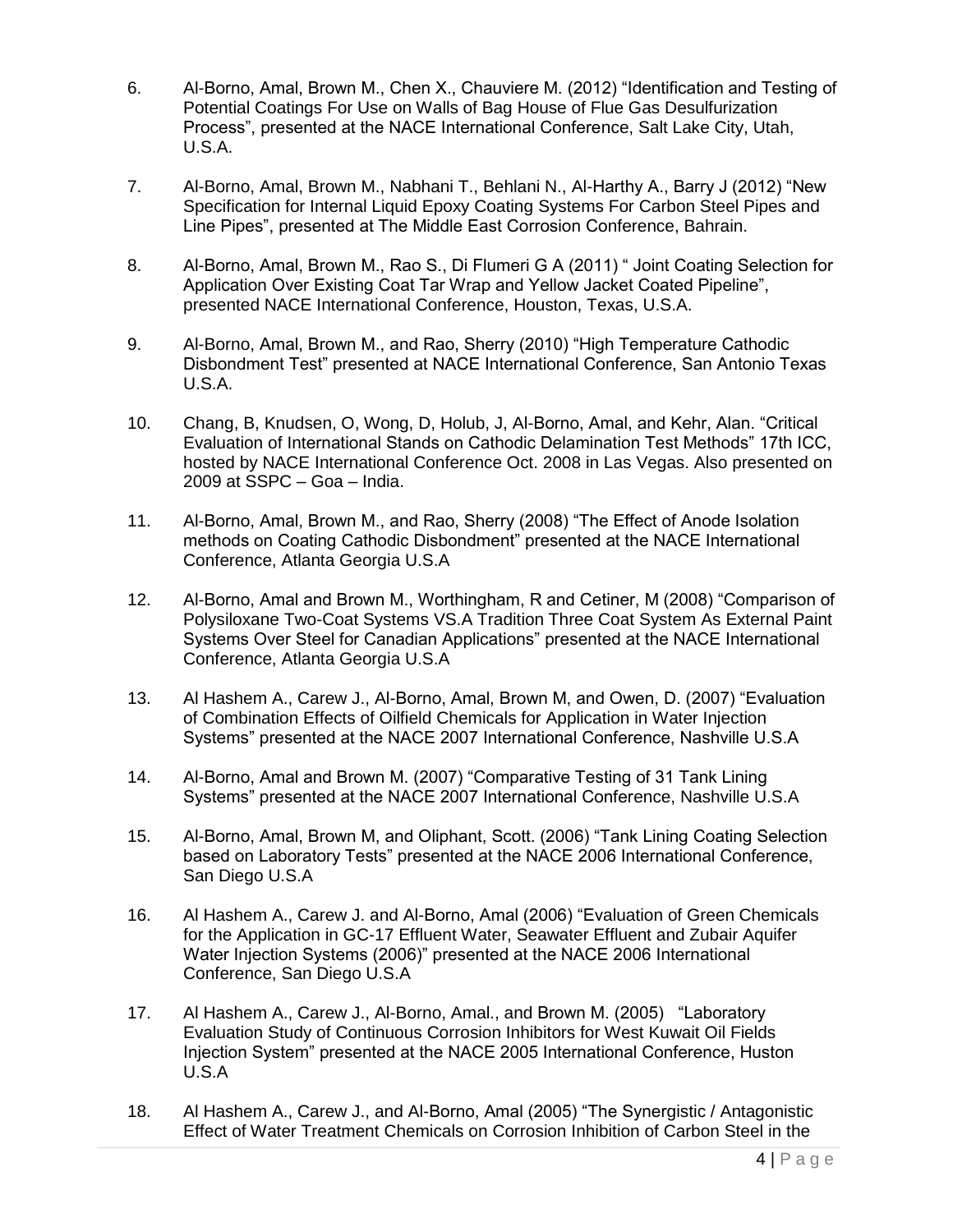- 6. Al-Borno, Amal, Brown M., Chen X., Chauviere M. (2012) "Identification and Testing of Potential Coatings For Use on Walls of Bag House of Flue Gas Desulfurization Process", presented at the NACE International Conference, Salt Lake City, Utah, U.S.A.
- 7. Al-Borno, Amal, Brown M., Nabhani T., Behlani N., Al-Harthy A., Barry J (2012) "New Specification for Internal Liquid Epoxy Coating Systems For Carbon Steel Pipes and Line Pipes", presented at The Middle East Corrosion Conference, Bahrain.
- 8. Al-Borno, Amal, Brown M., Rao S., Di Flumeri G A (2011) " Joint Coating Selection for Application Over Existing Coat Tar Wrap and Yellow Jacket Coated Pipeline", presented NACE International Conference, Houston, Texas, U.S.A.
- 9. Al-Borno, Amal, Brown M., and Rao, Sherry (2010) "High Temperature Cathodic Disbondment Test" presented at NACE International Conference, San Antonio Texas U.S.A.
- 10. Chang, B, Knudsen, O, Wong, D, Holub, J, Al-Borno, Amal, and Kehr, Alan. "Critical Evaluation of International Stands on Cathodic Delamination Test Methods" 17th ICC, hosted by NACE International Conference Oct. 2008 in Las Vegas. Also presented on 2009 at SSPC – Goa – India.
- 11. Al-Borno, Amal, Brown M., and Rao, Sherry (2008) "The Effect of Anode Isolation methods on Coating Cathodic Disbondment" presented at the NACE International Conference, Atlanta Georgia U.S.A
- 12. Al-Borno, Amal and Brown M., Worthingham, R and Cetiner, M (2008) "Comparison of Polysiloxane Two-Coat Systems VS.A Tradition Three Coat System As External Paint Systems Over Steel for Canadian Applications" presented at the NACE International Conference, Atlanta Georgia U.S.A
- 13. Al Hashem A., Carew J., Al-Borno, Amal, Brown M, and Owen, D. (2007) "Evaluation of Combination Effects of Oilfield Chemicals for Application in Water Injection Systems" presented at the NACE 2007 International Conference, Nashville U.S.A
- 14. Al-Borno, Amal and Brown M. (2007) "Comparative Testing of 31 Tank Lining Systems" presented at the NACE 2007 International Conference, Nashville U.S.A
- 15. Al-Borno, Amal, Brown M, and Oliphant, Scott. (2006) "Tank Lining Coating Selection based on Laboratory Tests" presented at the NACE 2006 International Conference, San Diego U.S.A
- 16. Al Hashem A., Carew J. and Al-Borno, Amal (2006) "Evaluation of Green Chemicals for the Application in GC-17 Effluent Water, Seawater Effluent and Zubair Aquifer Water Injection Systems (2006)" presented at the NACE 2006 International Conference, San Diego U.S.A
- 17. Al Hashem A., Carew J., Al-Borno, Amal., and Brown M. (2005) "Laboratory Evaluation Study of Continuous Corrosion Inhibitors for West Kuwait Oil Fields Injection System" presented at the NACE 2005 International Conference, Huston U.S.A
- 18. Al Hashem A., Carew J., and Al-Borno, Amal (2005) "The Synergistic / Antagonistic Effect of Water Treatment Chemicals on Corrosion Inhibition of Carbon Steel in the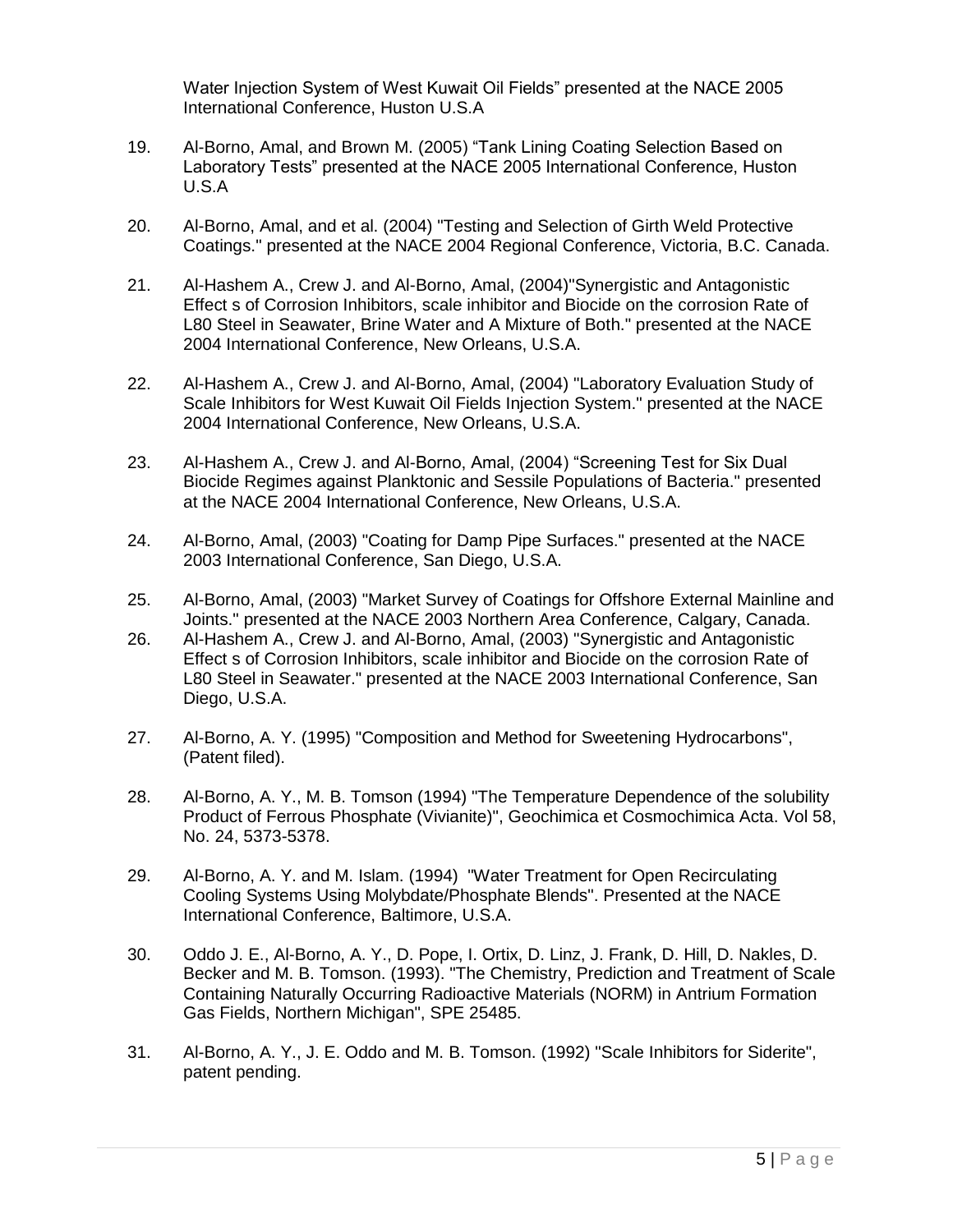Water Injection System of West Kuwait Oil Fields" presented at the NACE 2005 International Conference, Huston U.S.A

- 19. Al-Borno, Amal, and Brown M. (2005) "Tank Lining Coating Selection Based on Laboratory Tests" presented at the NACE 2005 International Conference, Huston U.S.A
- 20. Al-Borno, Amal, and et al. (2004) "Testing and Selection of Girth Weld Protective Coatings." presented at the NACE 2004 Regional Conference, Victoria, B.C. Canada.
- 21. Al-Hashem A., Crew J. and Al-Borno, Amal, (2004)"Synergistic and Antagonistic Effect s of Corrosion Inhibitors, scale inhibitor and Biocide on the corrosion Rate of L80 Steel in Seawater, Brine Water and A Mixture of Both." presented at the NACE 2004 International Conference, New Orleans, U.S.A.
- 22. Al-Hashem A., Crew J. and Al-Borno, Amal, (2004) "Laboratory Evaluation Study of Scale Inhibitors for West Kuwait Oil Fields Injection System." presented at the NACE 2004 International Conference, New Orleans, U.S.A.
- 23. Al-Hashem A., Crew J. and Al-Borno, Amal, (2004) "Screening Test for Six Dual Biocide Regimes against Planktonic and Sessile Populations of Bacteria." presented at the NACE 2004 International Conference, New Orleans, U.S.A.
- 24. Al-Borno, Amal, (2003) "Coating for Damp Pipe Surfaces." presented at the NACE 2003 International Conference, San Diego, U.S.A.
- 25. Al-Borno, Amal, (2003) "Market Survey of Coatings for Offshore External Mainline and Joints." presented at the NACE 2003 Northern Area Conference, Calgary, Canada.
- 26. Al-Hashem A., Crew J. and Al-Borno, Amal, (2003) "Synergistic and Antagonistic Effect s of Corrosion Inhibitors, scale inhibitor and Biocide on the corrosion Rate of L80 Steel in Seawater." presented at the NACE 2003 International Conference, San Diego, U.S.A.
- 27. Al-Borno, A. Y. (1995) "Composition and Method for Sweetening Hydrocarbons", (Patent filed).
- 28. Al-Borno, A. Y., M. B. Tomson (1994) "The Temperature Dependence of the solubility Product of Ferrous Phosphate (Vivianite)", Geochimica et Cosmochimica Acta. Vol 58, No. 24, 5373-5378.
- 29. Al-Borno, A. Y. and M. Islam. (1994) "Water Treatment for Open Recirculating Cooling Systems Using Molybdate/Phosphate Blends". Presented at the NACE International Conference, Baltimore, U.S.A.
- 30. Oddo J. E., Al-Borno, A. Y., D. Pope, I. Ortix, D. Linz, J. Frank, D. Hill, D. Nakles, D. Becker and M. B. Tomson. (1993). "The Chemistry, Prediction and Treatment of Scale Containing Naturally Occurring Radioactive Materials (NORM) in Antrium Formation Gas Fields, Northern Michigan", SPE 25485.
- 31. Al-Borno, A. Y., J. E. Oddo and M. B. Tomson. (1992) "Scale Inhibitors for Siderite", patent pending.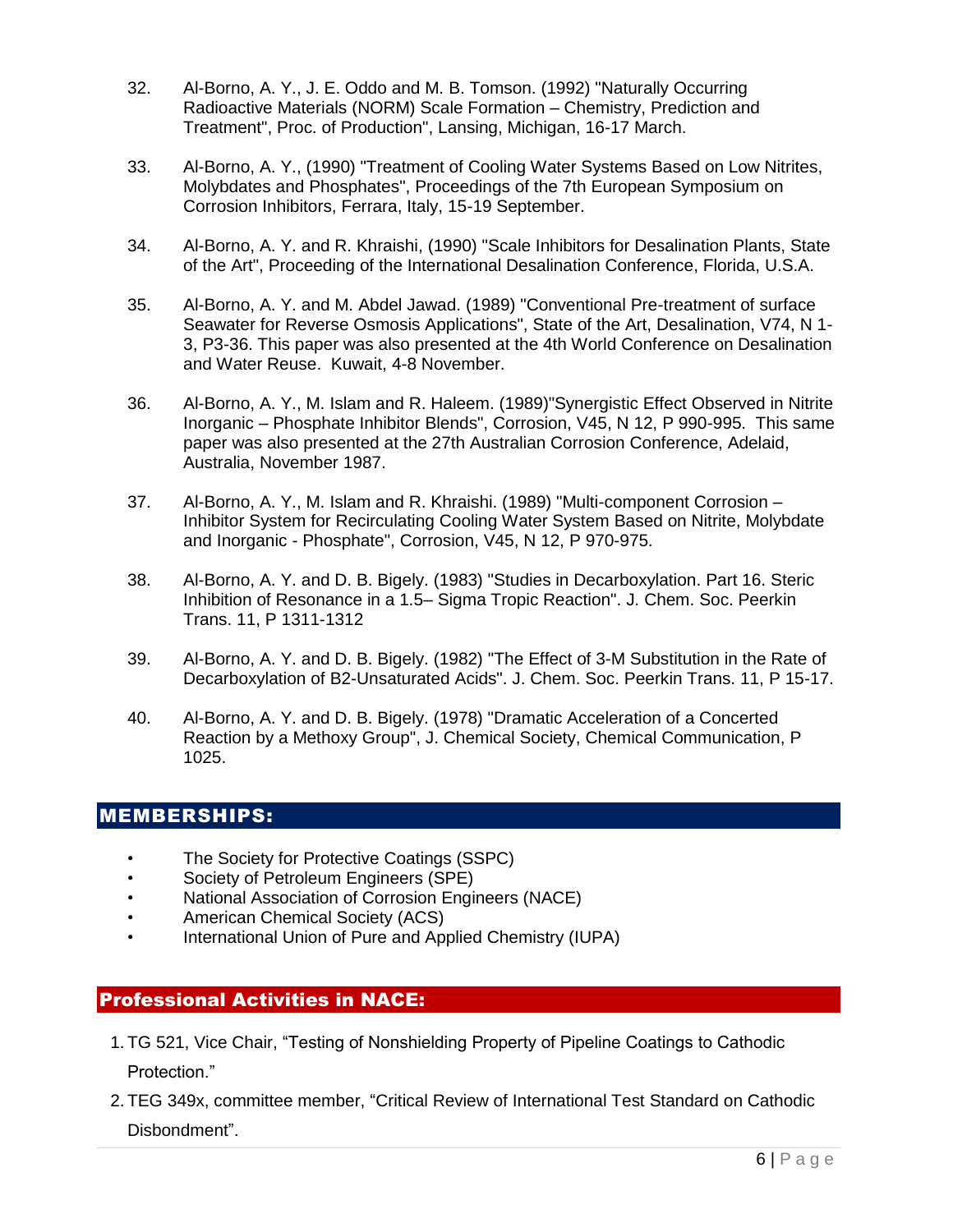- 32. Al-Borno, A. Y., J. E. Oddo and M. B. Tomson. (1992) "Naturally Occurring Radioactive Materials (NORM) Scale Formation – Chemistry, Prediction and Treatment", Proc. of Production", Lansing, Michigan, 16-17 March.
- 33. Al-Borno, A. Y., (1990) "Treatment of Cooling Water Systems Based on Low Nitrites, Molybdates and Phosphates", Proceedings of the 7th European Symposium on Corrosion Inhibitors, Ferrara, Italy, 15-19 September.
- 34. Al-Borno, A. Y. and R. Khraishi, (1990) "Scale Inhibitors for Desalination Plants, State of the Art", Proceeding of the International Desalination Conference, Florida, U.S.A.
- 35. Al-Borno, A. Y. and M. Abdel Jawad. (1989) "Conventional Pre-treatment of surface Seawater for Reverse Osmosis Applications", State of the Art, Desalination, V74, N 1- 3, P3-36. This paper was also presented at the 4th World Conference on Desalination and Water Reuse. Kuwait, 4-8 November.
- 36. Al-Borno, A. Y., M. Islam and R. Haleem. (1989)"Synergistic Effect Observed in Nitrite Inorganic – Phosphate Inhibitor Blends", Corrosion, V45, N 12, P 990-995. This same paper was also presented at the 27th Australian Corrosion Conference, Adelaid, Australia, November 1987.
- 37. Al-Borno, A. Y., M. Islam and R. Khraishi. (1989) "Multi-component Corrosion Inhibitor System for Recirculating Cooling Water System Based on Nitrite, Molybdate and Inorganic - Phosphate", Corrosion, V45, N 12, P 970-975.
- 38. Al-Borno, A. Y. and D. B. Bigely. (1983) "Studies in Decarboxylation. Part 16. Steric Inhibition of Resonance in a 1.5– Sigma Tropic Reaction". J. Chem. Soc. Peerkin Trans. 11, P 1311-1312
- 39. Al-Borno, A. Y. and D. B. Bigely. (1982) "The Effect of 3-M Substitution in the Rate of Decarboxylation of B2-Unsaturated Acids". J. Chem. Soc. Peerkin Trans. 11, P 15-17.
- 40. Al-Borno, A. Y. and D. B. Bigely. (1978) "Dramatic Acceleration of a Concerted Reaction by a Methoxy Group", J. Chemical Society, Chemical Communication, P 1025.

## MEMBERSHIPS:

- The Society for Protective Coatings (SSPC)
- Society of Petroleum Engineers (SPE)
- National Association of Corrosion Engineers (NACE)
- American Chemical Society (ACS)
- International Union of Pure and Applied Chemistry (IUPA)

# Professional Activities in NACE:

- 1. TG 521, Vice Chair, "Testing of Nonshielding Property of Pipeline Coatings to Cathodic Protection."
- 2. TEG 349x, committee member, "Critical Review of International Test Standard on Cathodic Disbondment".